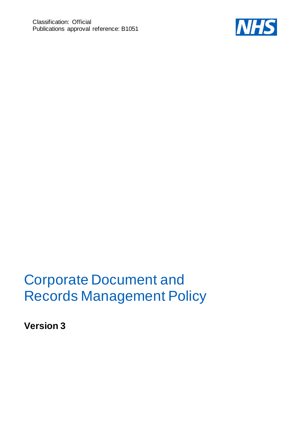

# Corporate Document and Records Management Policy

**Version 3**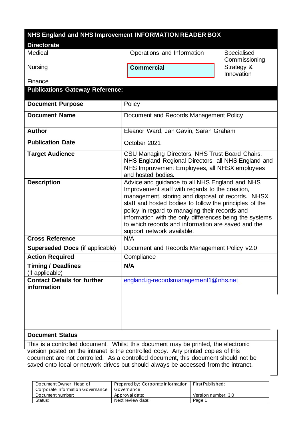| NHS England and NHS Improvement INFORMATION READER BOX               |                                                                                                                                                                                                                                                                                                                                                                                                                    |                              |
|----------------------------------------------------------------------|--------------------------------------------------------------------------------------------------------------------------------------------------------------------------------------------------------------------------------------------------------------------------------------------------------------------------------------------------------------------------------------------------------------------|------------------------------|
| <b>Directorate</b>                                                   |                                                                                                                                                                                                                                                                                                                                                                                                                    |                              |
| Medical                                                              | Operations and Information                                                                                                                                                                                                                                                                                                                                                                                         | Specialised<br>Commissioning |
| <b>Nursing</b>                                                       | <b>Commercial</b>                                                                                                                                                                                                                                                                                                                                                                                                  | Strategy &<br>Innovation     |
| Finance                                                              |                                                                                                                                                                                                                                                                                                                                                                                                                    |                              |
| <b>Publications Gateway Reference:</b>                               |                                                                                                                                                                                                                                                                                                                                                                                                                    |                              |
| <b>Document Purpose</b>                                              | Policy                                                                                                                                                                                                                                                                                                                                                                                                             |                              |
| <b>Document Name</b>                                                 | Document and Records Management Policy                                                                                                                                                                                                                                                                                                                                                                             |                              |
| <b>Author</b>                                                        | Eleanor Ward, Jan Gavin, Sarah Graham                                                                                                                                                                                                                                                                                                                                                                              |                              |
| <b>Publication Date</b>                                              | October 2021                                                                                                                                                                                                                                                                                                                                                                                                       |                              |
| <b>Target Audience</b>                                               | CSU Managing Directors, NHS Trust Board Chairs,<br>NHS England Regional Directors, all NHS England and<br>NHS Improvement Employees, all NHSX employees<br>and hosted bodies.                                                                                                                                                                                                                                      |                              |
| <b>Description</b>                                                   | Advice and guidance to all NHS England and NHS<br>Improvement staff with regards to the creation,<br>management, storing and disposal of records. NHSX<br>staff and hosted bodies to follow the principles of the<br>policy in regard to managing their records and<br>information with the only differences being the systems<br>to which records and information are saved and the<br>support network available. |                              |
| <b>Cross Reference</b>                                               | N/A                                                                                                                                                                                                                                                                                                                                                                                                                |                              |
| <b>Superseded Docs (if applicable)</b>                               | Document and Records Management Policy v2.0                                                                                                                                                                                                                                                                                                                                                                        |                              |
| <b>Action Required</b>                                               | Compliance                                                                                                                                                                                                                                                                                                                                                                                                         |                              |
| <b>Timing / Deadlines</b><br>(if applicable)                         | N/A                                                                                                                                                                                                                                                                                                                                                                                                                |                              |
| <b>Contact Details for further</b><br>information<br>Document Status | england.ig-recordsmanagement1@nhs.net                                                                                                                                                                                                                                                                                                                                                                              |                              |

#### **Document Status**

This is a controlled document. Whilst this document may be printed, the electronic version posted on the intranet is the controlled copy. Any printed copies of this document are not controlled. As a controlled document, this document should not be saved onto local or network drives but should always be accessed from the intranet.

| Document Owner: Head of          | Prepared by: Corporate Information   First Published: |                     |
|----------------------------------|-------------------------------------------------------|---------------------|
| Corporate Information Governance | Governance                                            |                     |
| Document number:                 | Approval date:                                        | Version number: 3.0 |
| Status:                          | Next review date:                                     | Page 1              |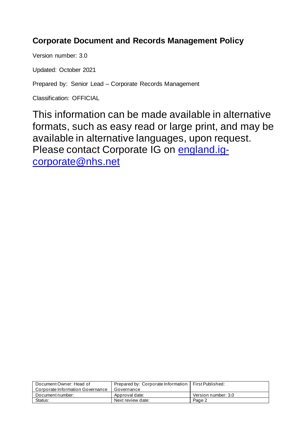# **Corporate Document and Records Management Policy**

Version number: 3.0

Updated: October 2021

Prepared by: Senior Lead – Corporate Records Management

Classification: OFFICIAL

This information can be made available in alternative formats, such as easy read or large print, and may be available in alternative languages, upon request. Please contact Corporate IG on [england.ig](mailto:england.ig-corporate@nhs.net)[corporate@nhs.net](mailto:england.ig-corporate@nhs.net)

| Document Owner: Head of          | Prepared by: Corporate Information   First Published: |                     |
|----------------------------------|-------------------------------------------------------|---------------------|
| Corporate Information Governance | Governance                                            |                     |
| Document number:                 | Approval date:                                        | Version number: 3.0 |
| Status:                          | Next review date:                                     | Page 2              |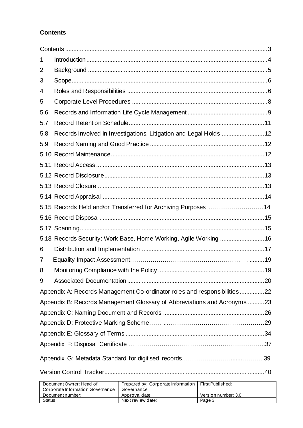# <span id="page-3-0"></span>**Contents**

| 1   |                                                                          |  |
|-----|--------------------------------------------------------------------------|--|
| 2   |                                                                          |  |
| 3   |                                                                          |  |
| 4   |                                                                          |  |
| 5   |                                                                          |  |
| 5.6 |                                                                          |  |
| 5.7 |                                                                          |  |
| 5.8 | Records involved in Investigations, Litigation and Legal Holds  12       |  |
| 5.9 |                                                                          |  |
|     |                                                                          |  |
|     |                                                                          |  |
|     |                                                                          |  |
|     |                                                                          |  |
|     |                                                                          |  |
|     | 5.15 Records Held and/or Transferred for Archiving Purposes 14           |  |
|     |                                                                          |  |
|     |                                                                          |  |
|     | 5.18 Records Security: Work Base, Home Working, Agile Working  16        |  |
| 6   |                                                                          |  |
| 7   |                                                                          |  |
| 8   |                                                                          |  |
| 9   |                                                                          |  |
|     | Appendix A: Records Management Co-ordinator roles and responsibilities22 |  |
|     | Appendix B: Records Management Glossary of Abbreviations and Acronyms 23 |  |
|     |                                                                          |  |
|     |                                                                          |  |
|     |                                                                          |  |
|     |                                                                          |  |
|     |                                                                          |  |
|     |                                                                          |  |

| Document Owner: Head of          | Prepared by: Corporate Information   First Published: |                     |
|----------------------------------|-------------------------------------------------------|---------------------|
| Corporate Information Governance | Governance                                            |                     |
| Document number:                 | Approval date:                                        | Version number: 3.0 |
| Status:                          | Next review date:                                     | Page 3              |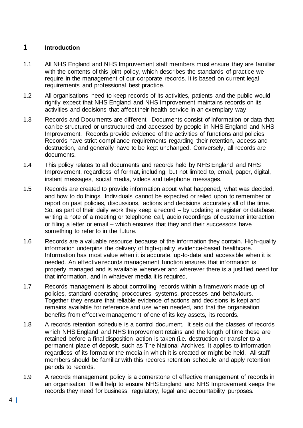# <span id="page-4-0"></span>**1 Introduction**

- 1.1 All NHS England and NHS Improvement staff members must ensure they are familiar with the contents of this joint policy, which describes the standards of practice we require in the management of our corporate records. It is based on current legal requirements and professional best practice.
- 1.2 All organisations need to keep records of its activities, patients and the public would rightly expect that NHS England and NHS Improvement maintains records on its activities and decisions that affect their health service in an exemplary way.
- 1.3 Records and Documents are different. Documents consist of information or data that can be structured or unstructured and accessed by people in NHS England and NHS Improvement. Records provide evidence of the activities of functions and policies. Records have strict compliance requirements regarding their retention, access and destruction, and generally have to be kept unchanged. Conversely, all records are documents.
- 1.4 This policy relates to all documents and records held by NHS England and NHS Improvement, regardless of format, including, but not limited to, email, paper, digital, instant messages, social media, videos and telephone messages.
- 1.5 Records are created to provide information about what happened, what was decided, and how to do things. Individuals cannot be expected or relied upon to remember or report on past policies, discussions, actions and decisions accurately all of the time. So, as part of their daily work they keep a record – by updating a register or database, writing a note of a meeting or telephone call, audio recordings of customer interaction or filing a letter or email – which ensures that they and their successors have something to refer to in the future.
- 1.6 Records are a valuable resource because of the information they contain. High-quality information underpins the delivery of high-quality evidence-based healthcare. Information has most value when it is accurate, up-to-date and accessible when it is needed. An effective records management function ensures that information is properly managed and is available whenever and wherever there is a justified need for that information, and in whatever media it is required.
- 1.7 Records management is about controlling records within a framework made up of policies, standard operating procedures, systems, processes and behaviours. Together they ensure that reliable evidence of actions and decisions is kept and remains available for reference and use when needed, and that the organisation benefits from effective management of one of its key assets, its records.
- 1.8 A records retention schedule is a control document. It sets out the classes of records which NHS England and NHS Improvement retains and the length of time these are retained before a final disposition action is taken (i.e. destruction or transfer to a permanent place of deposit, such as The National Archives. It applies to information regardless of its format or the media in which it is created or might be held. All staff members should be familiar with this records retention schedule and apply retention periods to records.
- 1.9 A records management policy is a cornerstone of effective management of records in an organisation. It will help to ensure NHS England and NHS Improvement keeps the records they need for business, regulatory, legal and accountability purposes.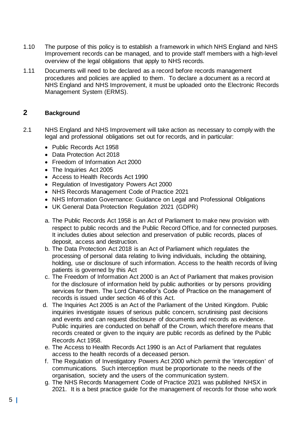- 1.10 The purpose of this policy is to establish a framework in which NHS England and NHS Improvement records can be managed, and to provide staff members with a high-level overview of the legal obligations that apply to NHS records.
- 1.11 Documents will need to be declared as a record before records management procedures and policies are applied to them. To declare a document as a record at NHS England and NHS Improvement, it must be uploaded onto the Electronic Records Management System (ERMS).

# <span id="page-5-0"></span>**2 Background**

- 2.1 NHS England and NHS Improvement will take action as necessary to comply with the legal and professional obligations set out for records, and in particular:
	- Public Records Act 1958
	- Data Protection Act 2018
	- Freedom of Information Act 2000
	- The Inquiries Act 2005
	- Access to Health Records Act 1990
	- Regulation of Investigatory Powers Act 2000
	- NHS Records Management Code of Practice 2021
	- NHS Information Governance: Guidance on Legal and Professional Obligations
	- UK General Data Protection Regulation 2021 (GDPR)
	- a. The Public Records Act 1958 is an Act of Parliament to make new provision with respect to public records and the Public Record Office, and for connected purposes. It includes duties about selection and preservation of public records, places of deposit, access and destruction.
	- b. The Data Protection Act 2018 is an Act of Parliament which regulates the processing of personal data relating to living individuals, including the obtaining, holding, use or disclosure of such information. Access to the health records of living patients is governed by this Act
	- c. The Freedom of Information Act 2000 is an Act of Parliament that makes provision for the disclosure of information held by public authorities or by persons providing services for them. The Lord Chancellor's Code of Practice on the management of records is issued under section 46 of this Act.
	- d. The Inquiries Act 2005 is an Act of the Parliament of the United Kingdom. Public inquiries investigate issues of serious public concern, scrutinising past decisions and events and can request disclosure of documents and records as evidence. Public inquiries are conducted on behalf of the Crown, which therefore means that records created or given to the inquiry are public records as defined by the Public Records Act 1958.
	- e. The Access to Health Records Act 1990 is an Act of Parliament that regulates access to the health records of a deceased person.
	- f. The Regulation of Investigatory Powers Act 2000 which permit the 'interception' of communications. Such interception must be proportionate to the needs of the organisation, society and the users of the communication system.
	- g. The NHS Records Management Code of Practice 2021 was published NHSX in 2021. It is a best practice guide for the management of records for those who work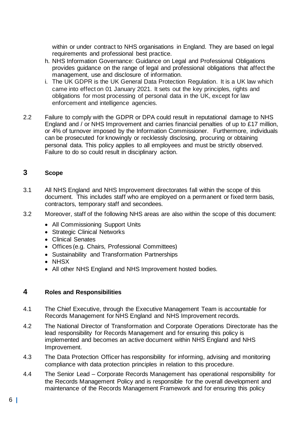within or under contract to NHS organisations in England. They are based on legal requirements and professional best practice.

- h. NHS Information Governance: Guidance on Legal and Professional Obligations provides guidance on the range of legal and professional obligations that affect the management, use and disclosure of information.
- i. The UK GDPR is the UK General Data Protection Regulation. It is a UK law which came into effect on 01 January 2021. It sets out the key principles, rights and obligations for most processing of personal data in the UK, except for law enforcement and intelligence agencies.
- 2.2 Failure to comply with the GDPR or DPA could result in reputational damage to NHS England and / or NHS Improvement and carries financial penalties of up to £17 million, or 4% of turnover imposed by the Information Commissioner. Furthermore, individuals can be prosecuted for knowingly or recklessly disclosing, procuring or obtaining personal data. This policy applies to all employees and must be strictly observed. Failure to do so could result in disciplinary action.

# <span id="page-6-0"></span>**3 Scope**

- 3.1 All NHS England and NHS Improvement directorates fall within the scope of this document. This includes staff who are employed on a permanent or fixed term basis, contractors, temporary staff and secondees.
- 3.2 Moreover, staff of the following NHS areas are also within the scope of this document:
	- All Commissioning Support Units
	- Strategic Clinical Networks
	- Clinical Senates
	- Offices (e.g. Chairs, Professional Committees)
	- Sustainability and Transformation Partnerships
	- NHSX
	- All other NHS England and NHS Improvement hosted bodies.

# <span id="page-6-1"></span>**4 Roles and Responsibilities**

- 4.1 The Chief Executive, through the Executive Management Team is accountable for Records Management for NHS England and NHS Improvement records.
- 4.2 The National Director of Transformation and Corporate Operations Directorate has the lead responsibility for Records Management and for ensuring this policy is implemented and becomes an active document within NHS England and NHS Improvement.
- 4.3 The Data Protection Officer has responsibility for informing, advising and monitoring compliance with data protection principles in relation to this procedure.
- 4.4 The Senior Lead Corporate Records Management has operational responsibility for the Records Management Policy and is responsible for the overall development and maintenance of the Records Management Framework and for ensuring this policy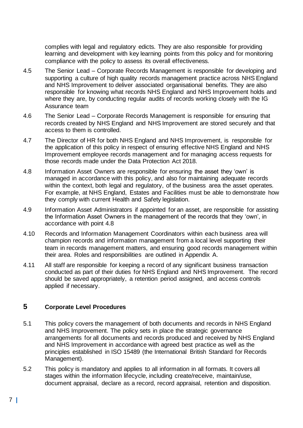complies with legal and regulatory edicts. They are also responsible for providing learning and development with key learning points from this policy and for monitoring compliance with the policy to assess its overall effectiveness.

- 4.5 The Senior Lead Corporate Records Management is responsible for developing and supporting a culture of high quality records management practice across NHS England and NHS Improvement to deliver associated organisational benefits. They are also responsible for knowing what records NHS England and NHS Improvement holds and where they are, by conducting regular audits of records working closely with the IG Assurance team
- 4.6 The Senior Lead Corporate Records Management is responsible for ensuring that records created by NHS England and NHS Improvement are stored securely and that access to them is controlled.
- 4.7 The Director of HR for both NHS England and NHS Improvement, is responsible for the application of this policy in respect of ensuring effective NHS England and NHS Improvement employee records management and for managing access requests for those records made under the Data Protection Act 2018.
- 4.8 Information Asset Owners are responsible for ensuring the asset they 'own' is managed in accordance with this policy, and also for maintaining adequate records within the context, both legal and regulatory, of the business area the asset operates. For example, at NHS England, Estates and Facilities must be able to demonstrate how they comply with current Health and Safety legislation.
- 4.9 Information Asset Administrators if appointed for an asset, are responsible for assisting the Information Asset Owners in the management of the records that they 'own', in accordance with point 4.8
- 4.10 Records and Information Management Coordinators within each business area will champion records and information management from a local level supporting their team in records management matters, and ensuring good records management within their area. Roles and responsibilities are outlined in Appendix A.
- 4.11 All staff are responsible for keeping a record of any significant business transaction conducted as part of their duties for NHS England and NHS Improvement. The record should be saved appropriately, a retention period assigned, and access controls applied if necessary.

# <span id="page-7-0"></span>**5 Corporate Level Procedures**

- 5.1 This policy covers the management of both documents and records in NHS England and NHS Improvement. The policy sets in place the strategic governance arrangements for all documents and records produced and received by NHS England and NHS Improvement in accordance with agreed best practice as well as the principles established in ISO 15489 (the International British Standard for Records Management).
- 5.2 This policy is mandatory and applies to all information in all formats. It covers all stages within the information lifecycle, including create/receive, maintain/use, document appraisal, declare as a record, record appraisal, retention and disposition.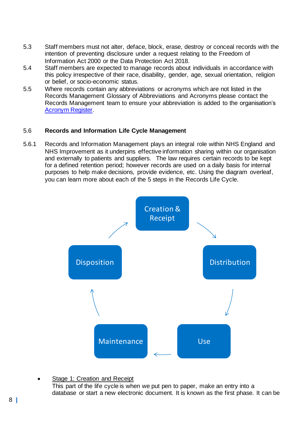- 5.3 Staff members must not alter, deface, block, erase, destroy or conceal records with the intention of preventing disclosure under a request relating to the Freedom of Information Act 2000 or the Data Protection Act 2018.
- 5.4 Staff members are expected to manage records about individuals in accordance with this policy irrespective of their race, disability, gender, age, sexual orientation, religion or belief, or socio-economic status.
- 5.5 Where records contain any abbreviations or acronyms which are not listed in the Records Management Glossary of Abbreviations and Acronyms please contact the Records Management team to ensure your abbreviation is added to the organisation's [Acronym Register.](https://nhsengland.sharepoint.com/:x:/r/sites/CIG/RM/_layouts/15/Doc.aspx?sourcedoc=%7B0DFC0F56-EE1F-4DC1-909D-86551C16DDA5%7D&file=Acronym%20list%20v.1.xlsx&action=default&mobileredirect=true)

## <span id="page-8-0"></span>5.6 **Records and Information Life Cycle Management**

5.6.1 Records and Information Management plays an integral role within NHS England and NHS Improvement as it underpins effective information sharing within our organisation and externally to patients and suppliers. The law requires certain records to be kept for a defined retention period; however records are used on a daily basis for internal purposes to help make decisions, provide evidence, etc. Using the diagram overleaf, you can learn more about each of the 5 steps in the Records Life Cycle.



Stage 1: Creation and Receipt

This part of the life cycle is when we put pen to paper, make an entry into a database or start a new electronic document. It is known as the first phase. It can be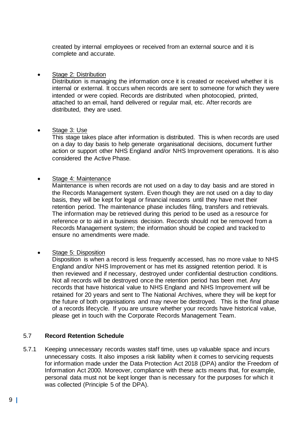created by internal employees or received from an external source and it is complete and accurate.

#### • Stage 2: Distribution

Distribution is managing the information once it is created or received whether it is internal or external. It occurs when records are sent to someone for which they were intended or were copied. Records are distributed when photocopied, printed, attached to an email, hand delivered or regular mail, etc. After records are distributed, they are used.

#### • Stage 3: Use

This stage takes place after information is distributed. This is when records are used on a day to day basis to help generate organisational decisions, document further action or support other NHS England and/or NHS Improvement operations. It is also considered the Active Phase.

## • Stage 4: Maintenance

Maintenance is when records are not used on a day to day basis and are stored in the Records Management system. Even though they are not used on a day to day basis, they will be kept for legal or financial reasons until they have met their retention period. The maintenance phase includes filing, transfers and retrievals. The information may be retrieved during this period to be used as a resource for reference or to aid in a business decision. Records should not be removed from a Records Management system; the information should be copied and tracked to ensure no amendments were made.

# Stage 5: Disposition

Disposition is when a record is less frequently accessed, has no more value to NHS England and/or NHS Improvement or has met its assigned retention period. It is then reviewed and if necessary, destroyed under confidential destruction conditions. Not all records will be destroyed once the retention period has been met. Any records that have historical value to NHS England and NHS Improvement will be retained for 20 years and sent to The National Archives, where they will be kept for the future of both organisations and may never be destroyed. This is the final phase of a records lifecycle. If you are unsure whether your records have historical value, please get in touch with the Corporate Records Management Team.

# <span id="page-9-0"></span>5.7 **Record Retention Schedule**

5.7.1 Keeping unnecessary records wastes staff time, uses up valuable space and incurs unnecessary costs. It also imposes a risk liability when it comes to servicing requests for information made under the Data Protection Act 2018 (DPA) and/or the Freedom of Information Act 2000. Moreover, compliance with these acts means that, for example, personal data must not be kept longer than is necessary for the purposes for which it was collected (Principle 5 of the DPA).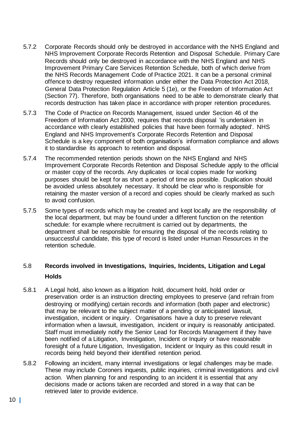- 5.7.2 Corporate Records should only be destroyed in accordance with the NHS England and NHS Improvement Corporate Records Retention and Disposal Schedule. Primary Care Records should only be destroyed in accordance with the NHS England and NHS Improvement Primary Care Services Retention Schedule, both of which derive from the NHS Records Management Code of Practice 2021. It can be a personal criminal offence to destroy requested information under either the Data Protection Act 2018, General Data Protection Regulation Article 5 (1e), or the Freedom of Information Act (Section 77). Therefore, both organisations need to be able to demonstrate clearly that records destruction has taken place in accordance with proper retention procedures.
- 5.7.3 The Code of Practice on Records Management, issued under Section 46 of the Freedom of Information Act 2000, requires that records disposal 'is undertaken in accordance with clearly established policies that have been formally adopted'. NHS England and NHS Improvement's Corporate Records Retention and Disposal Schedule is a key component of both organisation's information compliance and allows it to standardise its approach to retention and disposal.
- 5.7.4 The recommended retention periods shown on the NHS England and NHS Improvement Corporate Records Retention and Disposal Schedule apply to the official or master copy of the records. Any duplicates or local copies made for working purposes should be kept for as short a period of time as possible. Duplication should be avoided unless absolutely necessary. It should be clear who is responsible for retaining the master version of a record and copies should be clearly marked as such to avoid confusion.
- 5.7.5 Some types of records which may be created and kept locally are the responsibility of the local department, but may be found under a different function on the retention schedule: for example where recruitment is carried out by departments, the department shall be responsible for ensuring the disposal of the records relating to unsuccessful candidate, this type of record is listed under Human Resources in the retention schedule.

# <span id="page-10-0"></span>5.8 **Records involved in Investigations, Inquiries, Incidents, Litigation and Legal Holds**

- 5.8.1 A Legal hold, also known as a litigation hold, document hold, hold order or preservation order is an instruction directing employees to preserve (and refrain from destroying or modifying) certain records and information (both paper and electronic) that may be relevant to the subject matter of a pending or anticipated lawsuit, investigation, incident or inquiry. Organisations have a duty to preserve relevant information when a lawsuit, investigation, incident or inquiry is reasonably anticipated. Staff must immediately notify the Senior Lead for Records Management if they have been notified of a Litigation, Investigation, Incident or Inquiry or have reasonable foresight of a future Litigation, Investigation, Incident or Inquiry as this could result in records being held beyond their identified retention period.
- 5.8.2 Following an incident, many internal investigations or legal challenges may be made. These may include Coroners inquests, public inquiries, criminal investigations and civil action. When planning for and responding to an incident it is essential that any decisions made or actions taken are recorded and stored in a way that can be retrieved later to provide evidence.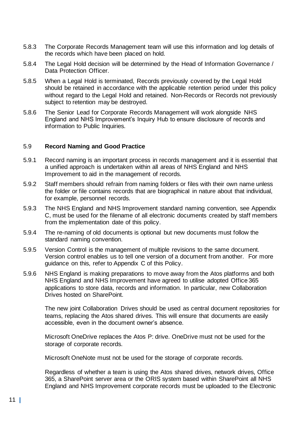- 5.8.3 The Corporate Records Management team will use this information and log details of the records which have been placed on hold.
- 5.8.4 The Legal Hold decision will be determined by the Head of Information Governance / Data Protection Officer.
- 5.8.5 When a Legal Hold is terminated, Records previously covered by the Legal Hold should be retained in accordance with the applicable retention period under this policy without regard to the Legal Hold and retained. Non-Records or Records not previously subject to retention may be destroyed.
- 5.8.6 The Senior Lead for Corporate Records Management will work alongside NHS England and NHS Improvement's Inquiry Hub to ensure disclosure of records and information to Public Inquiries.

#### <span id="page-11-0"></span>5.9 **Record Naming and Good Practice**

- 5.9.1 Record naming is an important process in records management and it is essential that a unified approach is undertaken within all areas of NHS England and NHS Improvement to aid in the management of records.
- 5.9.2 Staff members should refrain from naming folders or files with their own name unless the folder or file contains records that are biographical in nature about that individual, for example, personnel records.
- 5.9.3 The NHS England and NHS Improvement standard naming convention, see Appendix C, must be used for the filename of all electronic documents created by staff members from the implementation date of this policy.
- 5.9.4 The re-naming of old documents is optional but new documents must follow the standard naming convention.
- 5.9.5 Version Control is the management of multiple revisions to the same document. Version control enables us to tell one version of a document from another. For more guidance on this, refer to Appendix C of this Policy.
- 5.9.6 NHS England is making preparations to move away from the Atos platforms and both NHS England and NHS Improvement have agreed to utilise adopted Office 365 applications to store data, records and information. In particular, new Collaboration Drives hosted on SharePoint.

The new joint Collaboration Drives should be used as central document repositories for teams, replacing the Atos shared drives. This will ensure that documents are easily accessible, even in the document owner's absence.

Microsoft OneDrive replaces the Atos P: drive. OneDrive must not be used for the storage of corporate records.

Microsoft OneNote must not be used for the storage of corporate records.

Regardless of whether a team is using the Atos shared drives, network drives, Office 365, a SharePoint server area or the ORIS system based within SharePoint all NHS England and NHS Improvement corporate records must be uploaded to the Electronic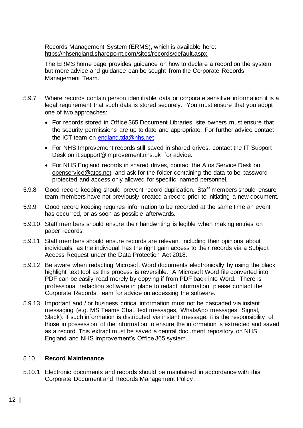Records Management System (ERMS), which is available here: <https://nhsengland.sharepoint.com/sites/records/default.aspx>

The ERMS home page provides guidance on how to declare a record on the system but more advice and guidance can be sought from the Corporate Records Management Team.

- 5.9.7 Where records contain person identifiable data or corporate sensitive information it is a legal requirement that such data is stored securely. You must ensure that you adopt one of two approaches:
	- For records stored in Office 365 Document Libraries, site owners must ensure that the security permissions are up to date and appropriate. For further advice contact the ICT team on [england.tda@nhs.net](mailto:england.tda@nhs.net)
	- For NHS Improvement records still saved in shared drives, contact the IT Support Desk on [it.support@improvement.nhs.uk](mailto:it.support@improvement.nhs.uk) for advice.
	- For NHS England records in shared drives, contact the Atos Service Desk on [openservice@atos.net](mailto:openservice@atos.net) and ask for the folder containing the data to be password protected and access only allowed for specific, named personnel.
- 5.9.8 Good record keeping should prevent record duplication. Staff members should ensure team members have not previously created a record prior to initiating a new document.
- 5.9.9 Good record keeping requires information to be recorded at the same time an event has occurred, or as soon as possible afterwards.
- 5.9.10 Staff members should ensure their handwriting is legible when making entries on paper records.
- 5.9.11 Staff members should ensure records are relevant including their opinions about individuals, as the individual has the right gain access to their records via a Subject Access Request under the Data Protection Act 2018.
- 5.9.12 Be aware when redacting Microsoft Word documents electronically by using the black highlight text tool as this process is reversible. A Microsoft Word file converted into PDF can be easily read merely by copying if from PDF back into Word. There is professional redaction software in place to redact information, please contact the Corporate Records Team for advice on accessing the software.
- 5.9.13 Important and / or business critical information must not be cascaded via instant messaging (e.g. MS Teams Chat, text messages, WhatsApp messages, Signal, Slack). If such information is distributed via instant message, it is the responsibility of those in possession of the information to ensure the information is extracted and saved as a record. This extract must be saved a central document repository on NHS England and NHS Improvement's Office 365 system.

#### <span id="page-12-0"></span>5.10 **Record Maintenance**

5.10.1 Electronic documents and records should be maintained in accordance with this Corporate Document and Records Management Policy.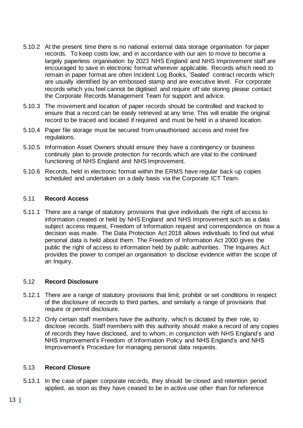- 5.10.2 At the present time there is no national external data storage organisation for paper records. To keep costs low, and in accordance with our aim to move to become a largely paperless organisation by 2023 NHS England and NHS Improvement staff are encouraged to save in electronic format wherever applicable. Records which need to remain in paper format are often Incident Log Books, 'Sealed' contract records which are usually identified by an embossed stamp and are executive level. For corporate records which you feel cannot be digitised and require off site storing please contact the Corporate Records Management Team for support and advice.
- 5.10.3 The movement and location of paper records should be controlled and tracked to ensure that a record can be easily retrieved at any time. This will enable the original record to be traced and located if required and must be held in a shared location.
- 5.10.4 Paper file storage must be secured from unauthorised access and meet fire regulations.
- 5.10.5 Information Asset Owners should ensure they have a contingency or business continuity plan to provide protection for records which are vital to the continued functioning of NHS England and NHS Improvement.
- 5.10.6 Records, held in electronic format within the ERMS have regular back-up copies scheduled and undertaken on a daily basis via the Corporate ICT Team.

#### <span id="page-13-0"></span>5.11 **Record Access**

5.11.1 There are a range of statutory provisions that give individuals the right of access to information created or held by NHS England and NHS Improvement such as a data subject access request, Freedom of Information request and correspondence on how a decision was made. The Data Protection Act 2018 allows individuals to find out what personal data is held about them. The Freedom of Information Act 2000 gives the public the right of access to information held by public authorities. The Inquiries Act provides the power to compel an organisation to disclose evidence within the scope of an Inquiry.

#### <span id="page-13-1"></span>5.12 **Record Disclosure**

- 5.12.1 There are a range of statutory provisions that limit, prohibit or set conditions in respect of the disclosure of records to third parties, and similarly a range of provisions that require or permit disclosure.
- 5.12.2 Only certain staff members have the authority, which is dictated by their role, to disclose records. Staff members with this authority should make a record of any copies of records they have disclosed, and to whom, in conjunction with NHS England's and NHS Improvement's Freedom of Information Policy and NHS England's and NHS Improvement's Procedure for managing personal data requests.

#### <span id="page-13-2"></span>5.13 **Record Closure**

5.13.1 In the case of paper corporate records, they should be closed and retention period applied, as soon as they have ceased to be in active use other than for reference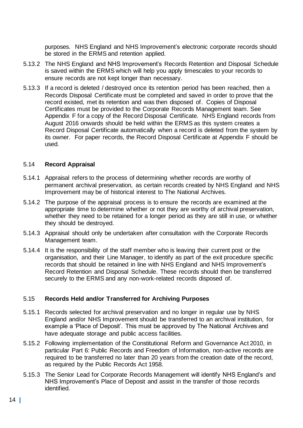purposes. NHS England and NHS Improvement's electronic corporate records should be stored in the ERMS and retention applied.

- 5.13.2 The NHS England and NHS Improvement's Records Retention and Disposal Schedule is saved within the ERMS which will help you apply timescales to your records to ensure records are not kept longer than necessary.
- 5.13.3 If a record is deleted / destroyed once its retention period has been reached, then a Records Disposal Certificate must be completed and saved in order to prove that the record existed, met its retention and was then disposed of. Copies of Disposal Certificates must be provided to the Corporate Records Management team. See Appendix F for a copy of the Record Disposal Certificate. NHS England records from August 2016 onwards should be held within the ERMS as this system creates a Record Disposal Certificate automatically when a record is deleted from the system by its owner. For paper records, the Record Disposal Certificate at Appendix F should be used.

#### <span id="page-14-0"></span>5.14 **Record Appraisal**

- 5.14.1 Appraisal refers to the process of determining whether records are worthy of permanent archival preservation, as certain records created by NHS England and NHS Improvement may be of historical interest to The National Archives.
- 5.14.2 The purpose of the appraisal process is to ensure the records are examined at the appropriate time to determine whether or not they are worthy of archival preservation, whether they need to be retained for a longer period as they are still in use, or whether they should be destroyed.
- 5.14.3 Appraisal should only be undertaken after consultation with the Corporate Records Management team.
- 5.14.4 It is the responsibility of the staff member who is leaving their current post or the organisation, and their Line Manager, to identify as part of the exit procedure specific records that should be retained in line with NHS England and NHS Improvement's Record Retention and Disposal Schedule. These records should then be transferred securely to the ERMS and any non-work-related records disposed of.

#### <span id="page-14-1"></span>5.15 **Records Held and/or Transferred for Archiving Purposes**

- 5.15.1 Records selected for archival preservation and no longer in regular use by NHS England and/or NHS Improvement should be transferred to an archival institution, for example a 'Place of Deposit'. This must be approved by The National Archives and have adequate storage and public access facilities.
- 5.15.2 Following implementation of the Constitutional Reform and Governance Act 2010, in particular Part 6: Public Records and Freedom of Information, non-active records are required to be transferred no later than 20 years from the creation date of the record, as required by the Public Records Act 1958.
- 5.15.3 The Senior Lead for Corporate Records Management will identify NHS England's and NHS Improvement's Place of Deposit and assist in the transfer of those records identified.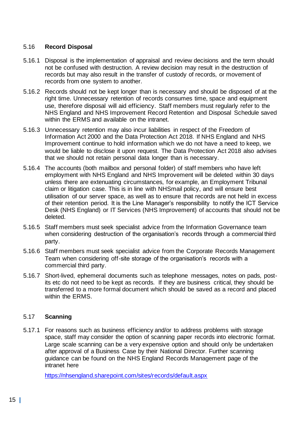## <span id="page-15-0"></span>5.16 **Record Disposal**

- 5.16.1 Disposal is the implementation of appraisal and review decisions and the term should not be confused with destruction. A review decision may result in the destruction of records but may also result in the transfer of custody of records, or movement of records from one system to another.
- 5.16.2 Records should not be kept longer than is necessary and should be disposed of at the right time. Unnecessary retention of records consumes time, space and equipment use, therefore disposal will aid efficiency. Staff members must regularly refer to the NHS England and NHS Improvement Record Retention and Disposal Schedule saved within the ERMS and available on the intranet.
- 5.16.3 Unnecessary retention may also incur liabilities in respect of the Freedom of Information Act 2000 and the Data Protection Act 2018. If NHS England and NHS Improvement continue to hold information which we do not have a need to keep, we would be liable to disclose it upon request. The Data Protection Act 2018 also advises that we should not retain personal data longer than is necessary.
- 5.16.4 The accounts (both mailbox and personal folder) of staff members who have left employment with NHS England and NHS Improvement will be deleted within 30 days unless there are extenuating circumstances, for example, an Employment Tribunal claim or litigation case. This is in line with NHSmail policy, and will ensure best utilisation of our server space, as well as to ensure that records are not held in excess of their retention period. It is the Line Manager's responsibility to notify the ICT Service Desk (NHS England) or IT Services (NHS Improvement) of accounts that should not be deleted.
- 5.16.5 Staff members must seek specialist advice from the Information Governance team when considering destruction of the organisation's records through a commercial third party.
- 5.16.6 Staff members must seek specialist advice from the Corporate Records Management Team when considering off-site storage of the organisation's records with a commercial third party.
- 5.16.7 Short-lived, ephemeral documents such as telephone messages, notes on pads, postits etc do not need to be kept as records. If they are business critical, they should be transferred to a more formal document which should be saved as a record and placed within the ERMS.

#### <span id="page-15-1"></span>5.17 **Scanning**

5.17.1 For reasons such as business efficiency and/or to address problems with storage space, staff may consider the option of scanning paper records into electronic format. Large scale scanning can be a very expensive option and should only be undertaken after approval of a Business Case by their National Director. Further scanning guidance can be found on the NHS England Records Management page of the intranet here

<https://nhsengland.sharepoint.com/sites/records/default.aspx>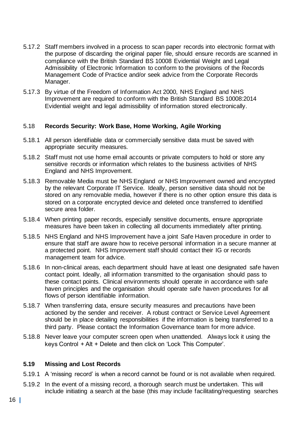- 5.17.2 Staff members involved in a process to scan paper records into electronic format with the purpose of discarding the original paper file, should ensure records are scanned in compliance with the British Standard BS 10008 Evidential Weight and Legal Admissibility of Electronic Information to conform to the provisions of the Records Management Code of Practice and/or seek advice from the Corporate Records Manager.
- 5.17.3 By virtue of the Freedom of Information Act 2000, NHS England and NHS Improvement are required to conform with the British Standard BS 10008:2014 Evidential weight and legal admissibility of information stored electronically.

#### <span id="page-16-0"></span>5.18 **Records Security: Work Base, Home Working, Agile Working**

- 5.18.1 All person identifiable data or commercially sensitive data must be saved with appropriate security measures.
- 5.18.2 Staff must not use home email accounts or private computers to hold or store any sensitive records or information which relates to the business activities of NHS England and NHS Improvement.
- 5.18.3 Removable Media must be NHS England or NHS Improvement owned and encrypted by the relevant Corporate IT Service. Ideally, person sensitive data should not be stored on any removable media, however if there is no other option ensure this data is stored on a corporate encrypted device and deleted once transferred to identified secure area folder.
- 5.18.4 When printing paper records, especially sensitive documents, ensure appropriate measures have been taken in collecting all documents immediately after printing.
- 5.18.5 NHS England and NHS Improvement have a joint Safe Haven procedure in order to ensure that staff are aware how to receive personal information in a secure manner at a protected point. NHS Improvement staff should contact their IG or records management team for advice.
- 5.18.6 In non-clinical areas, each department should have at least one designated safe haven contact point. Ideally, all information transmitted to the organisation should pass to these contact points. Clinical environments should operate in accordance with safe haven principles and the organisation should operate safe haven procedures for all flows of person identifiable information.
- 5.18.7 When transferring data, ensure security measures and precautions have been actioned by the sender and receiver. A robust contract or Service Level Agreement should be in place detailing responsibilities if the information is being transferred to a third party. Please contact the Information Governance team for more advice.
- 5.18.8 Never leave your computer screen open when unattended. Always lock it using the keys Control + Alt + Delete and then click on 'Lock This Computer'.

#### **5.19 Missing and Lost Records**

- 5.19.1 A 'missing record' is when a record cannot be found or is not available when required.
- 5.19.2 In the event of a missing record, a thorough search must be undertaken. This will include initiating a search at the base (this may include facilitating/requesting searches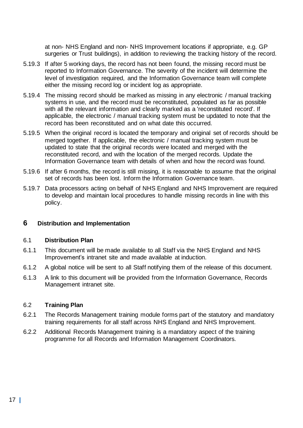at non- NHS England and non- NHS Improvement locations if appropriate, e.g. GP surgeries or Trust buildings), in addition to reviewing the tracking history of the record.

- 5.19.3 If after 5 working days, the record has not been found, the missing record must be reported to Information Governance. The severity of the incident will determine the level of investigation required, and the Information Governance team will complete either the missing record log or incident log as appropriate.
- 5.19.4 The missing record should be marked as missing in any electronic / manual tracking systems in use, and the record must be reconstituted, populated as far as possible with all the relevant information and clearly marked as a 'reconstituted record'. If applicable, the electronic / manual tracking system must be updated to note that the record has been reconstituted and on what date this occurred.
- 5.19.5 When the original record is located the temporary and original set of records should be merged together. If applicable, the electronic / manual tracking system must be updated to state that the original records were located and merged with the reconstituted record, and with the location of the merged records. Update the Information Governance team with details of when and how the record was found.
- 5.19.6 If after 6 months, the record is still missing, it is reasonable to assume that the original set of records has been lost. Inform the Information Governance team.
- 5.19.7 Data processors acting on behalf of NHS England and NHS Improvement are required to develop and maintain local procedures to handle missing records in line with this policy.

# <span id="page-17-0"></span>**6 Distribution and Implementation**

#### 6.1 **Distribution Plan**

- 6.1.1 This document will be made available to all Staff via the NHS England and NHS Improvement's intranet site and made available at induction.
- 6.1.2 A global notice will be sent to all Staff notifying them of the release of this document.
- 6.1.3 A link to this document will be provided from the Information Governance, Records Management intranet site.

# 6.2 **Training Plan**

- 6.2.1 The Records Management training module forms part of the statutory and mandatory training requirements for all staff across NHS England and NHS Improvement.
- 6.2.2 Additional Records Management training is a mandatory aspect of the training programme for all Records and Information Management Coordinators.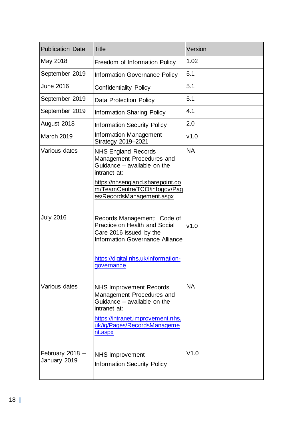| <b>Publication Date</b>         | <b>Title</b>                                                                                                                                                                              | Version   |
|---------------------------------|-------------------------------------------------------------------------------------------------------------------------------------------------------------------------------------------|-----------|
| May 2018                        | Freedom of Information Policy                                                                                                                                                             | 1.02      |
| September 2019                  | Information Governance Policy                                                                                                                                                             | 5.1       |
| <b>June 2016</b>                | <b>Confidentiality Policy</b>                                                                                                                                                             | 5.1       |
| September 2019                  | <b>Data Protection Policy</b>                                                                                                                                                             | 5.1       |
| September 2019                  | <b>Information Sharing Policy</b>                                                                                                                                                         | 4.1       |
| August 2018                     | <b>Information Security Policy</b>                                                                                                                                                        | 2.0       |
| March 2019                      | <b>Information Management</b><br>Strategy 2019-2021                                                                                                                                       | v1.0      |
| Various dates                   | <b>NHS England Records</b><br>Management Procedures and<br>Guidance - available on the<br>intranet at:                                                                                    | <b>NA</b> |
|                                 | https://nhsengland.sharepoint.co<br>m/TeamCentre/TCO/infogov/Pag<br>es/RecordsManagement.aspx                                                                                             |           |
| <b>July 2016</b>                | Records Management: Code of<br><b>Practice on Health and Social</b><br>Care 2016 issued by the<br><b>Information Governance Alliance</b>                                                  | v1.0      |
|                                 | https://digital.nhs.uk/information-<br>governance                                                                                                                                         |           |
| Various dates                   | <b>NHS Improvement Records</b><br>Management Procedures and<br>Guidance - available on the<br>intranet at:<br>https://intranet.improvement.nhs.<br>uk/ig/Pages/RecordsManageme<br>nt.aspx | <b>NA</b> |
| February 2018 -<br>January 2019 | <b>NHS Improvement</b><br><b>Information Security Policy</b>                                                                                                                              | V1.0      |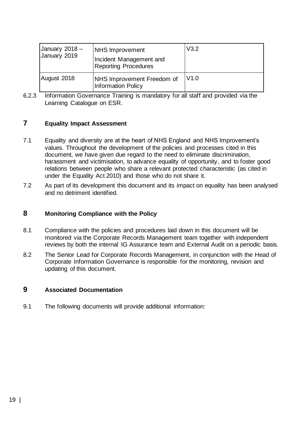| Uanuary $2018 -$<br>January 2019 | <b>NHS Improvement</b><br>Incident Management and<br><b>Reporting Procedures</b> | V3.2 |
|----------------------------------|----------------------------------------------------------------------------------|------|
| August 2018                      | <b>NHS Improvement Freedom of</b><br><b>Information Policy</b>                   | V1.0 |

6.2.3 Information Governance Training is mandatory for all staff and provided via the Learning Catalogue on ESR.

## **7 Equality Impact Assessment**

- 7.1 Equality and diversity are at the heart of NHS England and NHS Improvement's values. Throughout the development of the policies and processes cited in this document, we have given due regard to the need to eliminate discrimination, harassment and victimisation, to advance equality of opportunity, and to foster good relations between people who share a relevant protected characteristic (as cited in under the Equality Act 2010) and those who do not share it.
- 7.2 As part of its development this document and its impact on equality has been analysed and no detriment identified.

#### <span id="page-19-0"></span>**8 Monitoring Compliance with the Policy**

- 8.1 Compliance with the policies and procedures laid down in this document will be monitored via the Corporate Records Management team together with independent reviews by both the internal IG Assurance team and External Audit on a periodic basis.
- 8.2 The Senior Lead for Corporate Records Management, in conjunction with the Head of Corporate Information Governance is responsible for the monitoring, revision and updating of this document.

## <span id="page-19-1"></span>**9 Associated Documentation**

9.1 The following documents will provide additional information: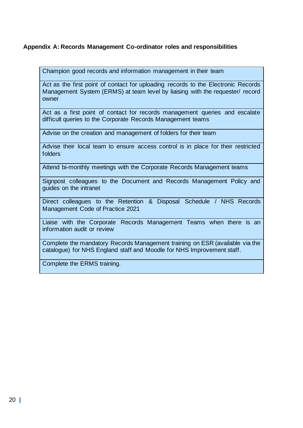# <span id="page-20-0"></span>**Appendix A: Records Management Co-ordinator roles and responsibilities**

Champion good records and information management in their team

Act as the first point of contact for uploading records to the Electronic Records Management System (ERMS) at team level by liaising with the requester/ record owner

Act as a first point of contact for records management queries and escalate difficult queries to the Corporate Records Management teams

Advise on the creation and management of folders for their team

Advise their local team to ensure access control is in place for their restricted folders

Attend bi-monthly meetings with the Corporate Records Management teams

Signpost colleagues to the Document and Records Management Policy and guides on the intranet

Direct colleagues to the Retention & Disposal Schedule / NHS Records Management Code of Practice 2021

Liaise with the Corporate Records Management Teams when there is an information audit or review

Complete the mandatory Records Management training on ESR (available via the catalogue) for NHS England staff and Moodle for NHS Improvement staff.

Complete the ERMS training.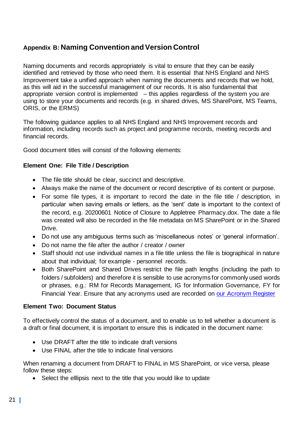# <span id="page-21-0"></span>**Appendix B: Naming Convention and Version Control**

Naming documents and records appropriately is vital to ensure that they can be easily identified and retrieved by those who need them. It is essential that NHS England and NHS Improvement take a unified approach when naming the documents and records that we hold, as this will aid in the successful management of our records. It is also fundamental that appropriate version control is implemented  $-$  this applies regardless of the system you are using to store your documents and records (e.g. in shared drives, MS SharePoint, MS Teams, ORIS, or the ERMS)

The following guidance applies to all NHS England and NHS Improvement records and information, including records such as project and programme records, meeting records and financial records.

Good document titles will consist of the following elements:

# **Element One: File Title / Description**

- The file title should be clear, succinct and descriptive.
- Always make the name of the document or record descriptive of its content or purpose.
- For some file types, it is important to record the date in the file title / description, in particular when saving emails or letters, as the 'sent' date is important to the context of the record, e.g. 20200601 Notice of Closure to Appletree Pharmacy.dox. The date a file was created will also be recorded in the file metadata on MS SharePoint or in the Shared Drive.
- Do not use any ambiguous terms such as 'miscellaneous notes' or 'general information'.
- Do not name the file after the author / creator / owner
- Staff should not use individual names in a file title unless the file is biographical in nature about that individual; for example - personnel records.
- Both SharePoint and Shared Drives restrict the file path lengths (including the path to folders / subfolders) and therefore it is sensible to use acronyms for commonly used words or phrases, e.g.: RM for Records Management, IG for Information Governance, FY for Financial Year. Ensure that any acronyms used are recorded on [our Acronym Register](https://nhsengland.sharepoint.com/sites/CIG/RM/_layouts/15/Doc.aspx?sourcedoc=%7b5785FBF0-3098-4171-B5CF-6C3D586DEBFE%7d&file=Acronym%20list.xlsx&action=default&mobileredirect=true&cid=caee2baa-ebd9-4e03-b116-d3d49428c3f6&web=1)

#### **Element Two: Document Status**

To effectively control the status of a document, and to enable us to tell whether a document is a draft or final document, it is important to ensure this is indicated in the document name:

- Use DRAFT after the title to indicate draft versions
- Use FINAL after the title to indicate final versions

When renaming a document from DRAFT to FINAL in MS SharePoint, or vice versa, please follow these steps:

• Select the ellipsis next to the title that you would like to update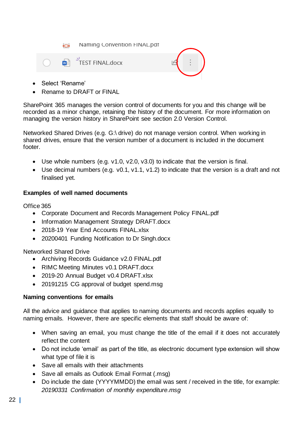Naming Convention FINAL.pdf ł۵



- Select 'Rename'
- Rename to DRAFT or FINAL

SharePoint 365 manages the version control of documents for you and this change will be recorded as a minor change, retaining the history of the document. For more information on managing the version history in SharePoint see section 2.0 Version Control.

Networked Shared Drives (e.g. G:\ drive) do not manage version control. When working in shared drives, ensure that the version number of a document is included in the document footer.

- Use whole numbers (e.g. v1.0, v2.0, v3.0) to indicate that the version is final.
- Use decimal numbers (e.g. v0.1, v1.1, v1.2) to indicate that the version is a draft and not finalised yet.

## **Examples of well named documents**

Office 365

- Corporate Document and Records Management Policy FINAL.pdf
- Information Management Strategy DRAFT.docx
- 2018-19 Year Fnd Accounts FINAL xlsx
- 20200401 Funding Notification to Dr Singh.docx

Networked Shared Drive

- Archiving Records Guidance v2.0 FINAL.pdf
- RIMC Meeting Minutes v0.1 DRAFT.docx
- 2019-20 Annual Budget v0.4 DRAFT.xlsx
- 20191215 CG approval of budget spend.msg

#### **Naming conventions for emails**

All the advice and guidance that applies to naming documents and records applies equally to naming emails. However, there are specific elements that staff should be aware of:

- When saving an email, you must change the title of the email if it does not accurately reflect the content
- Do not include 'email' as part of the title, as electronic document type extension will show what type of file it is
- Save all emails with their attachments
- Save all emails as Outlook Email Format (.msg)
- Do include the date (YYYYMMDD) the email was sent / received in the title, for example: *20190331 Confirmation of monthly expenditure.msg*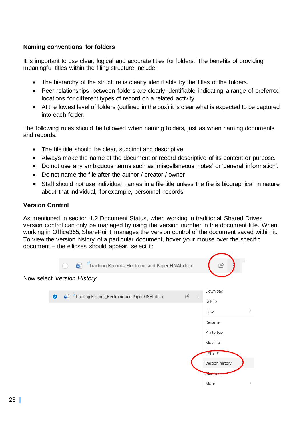# **Naming conventions for folders**

It is important to use clear, logical and accurate titles for folders. The benefits of providing meaningful titles within the filing structure include:

- The hierarchy of the structure is clearly identifiable by the titles of the folders.
- Peer relationships between folders are clearly identifiable indicating a range of preferred locations for different types of record on a related activity.
- At the lowest level of folders (outlined in the box) it is clear what is expected to be captured into each folder.

The following rules should be followed when naming folders, just as when naming documents and records:

- The file title should be clear, succinct and descriptive.
- Always make the name of the document or record descriptive of its content or purpose.
- Do not use any ambiguous terms such as 'miscellaneous notes' or 'general information'.
- Do not name the file after the author / creator / owner
- Staff should not use individual names in a file title unless the file is biographical in nature about that individual, for example, personnel records

#### **Version Control**

As mentioned in section 1.2 Document Status, when working in traditional Shared Drives version control can only be managed by using the version number in the document title. When working in Office365, SharePoint manages the version control of the document saved within it. To view the version history of a particular document, hover your mouse over the specific document – the ellipses should appear, select it:

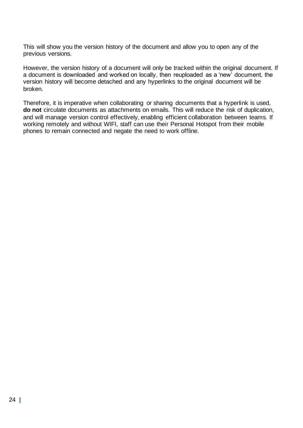This will show you the version history of the document and allow you to open any of the previous versions.

However, the version history of a document will only be tracked within the original document. If a document is downloaded and worked on locally, then reuploaded as a 'new' document, the version history will become detached and any hyperlinks to the original document will be broken.

Therefore, it is imperative when collaborating or sharing documents that a hyperlink is used, **do not** circulate documents as attachments on emails. This will reduce the risk of duplication, and will manage version control effectively, enabling efficient collaboration between teams. If working remotely and without WIFI, staff can use their Personal Hotspot from their mobile phones to remain connected and negate the need to work offline.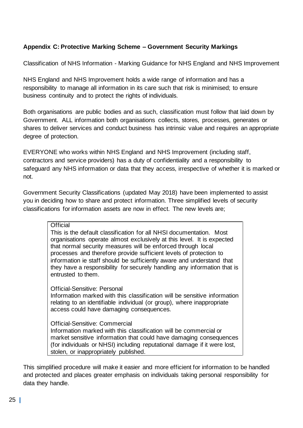# **Appendix C: Protective Marking Scheme – Government Security Markings**

Classification of NHS Information - Marking Guidance for NHS England and NHS Improvement

NHS England and NHS Improvement holds a wide range of information and has a responsibility to manage all information in its care such that risk is minimised; to ensure business continuity and to protect the rights of individuals.

Both organisations are public bodies and as such, classification must follow that laid down by Government. ALL information both organisations collects, stores, processes, generates or shares to deliver services and conduct business has intrinsic value and requires an appropriate degree of protection.

EVERYONE who works within NHS England and NHS Improvement (including staff, contractors and service providers) has a duty of confidentiality and a responsibility to safeguard any NHS information or data that they access, irrespective of whether it is marked or not.

Government Security Classifications (updated May 2018) have been implemented to assist you in deciding how to share and protect information. Three simplified levels of security classifications for information assets are now in effect. The new levels are;

#### **Official**

This is the default classification for all NHSI documentation. Most organisations operate almost exclusively at this level. It is expected that normal security measures will be enforced through local processes and therefore provide sufficient levels of protection to information ie staff should be sufficiently aware and understand that they have a responsibility for securely handling any information that is entrusted to them.

Official-Sensitive: Personal Information marked with this classification will be sensitive information relating to an identifiable individual (or group), where inappropriate access could have damaging consequences.

Official-Sensitive: Commercial Information marked with this classification will be commercial or market sensitive information that could have damaging consequences (for individuals or NHSI) including reputational damage if it were lost, stolen, or inappropriately published.

This simplified procedure will make it easier and more efficient for information to be handled and protected and places greater emphasis on individuals taking personal responsibility for data they handle.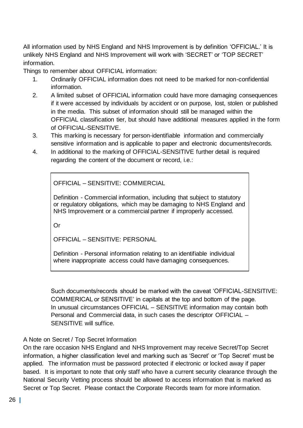All information used by NHS England and NHS Improvement is by definition 'OFFICIAL.' It is unlikely NHS England and NHS Improvement will work with 'SECRET' or 'TOP SECRET' information.

Things to remember about OFFICIAL information:

- 1. Ordinarily OFFICIAL information does not need to be marked for non-confidential information.
- 2. A limited subset of OFFICIAL information could have more damaging consequences if it were accessed by individuals by accident or on purpose, lost, stolen or published in the media. This subset of information should still be managed within the OFFICIAL classification tier, but should have additional measures applied in the form of OFFICIAL-SENSITIVE.
- 3. This marking is necessary for person-identifiable information and commercially sensitive information and is applicable to paper and electronic documents/records.
- 4. In additional to the marking of OFFICIAL-SENSITIVE further detail is required regarding the content of the document or record, i.e.:

OFFICIAL – SENSITIVE: COMMERCIAL

Definition - Commercial information, including that subject to statutory or regulatory obligations, which may be damaging to NHS England and NHS Improvement or a commercial partner if improperly accessed.

Or

OFFICIAL – SENSITIVE: PERSONAL

Definition - Personal information relating to an identifiable individual where inappropriate access could have damaging consequences.

Such documents/records should be marked with the caveat 'OFFICIAL-SENSITIVE: COMMERICAL or SENSITIVE' in capitals at the top and bottom of the page. In unusual circumstances OFFICIAL – SENSITIVE information may contain both Personal and Commercial data, in such cases the descriptor OFFICIAL – SENSITIVE will suffice.

# A Note on Secret / Top Secret Information

On the rare occasion NHS England and NHS Improvement may receive Secret/Top Secret information, a higher classification level and marking such as 'Secret' or 'Top Secret' must be applied. The information must be password protected if electronic or locked away if paper based. It is important to note that only staff who have a current security clearance through the National Security Vetting process should be allowed to access information that is marked as Secret or Top Secret. Please contact the Corporate Records team for more information.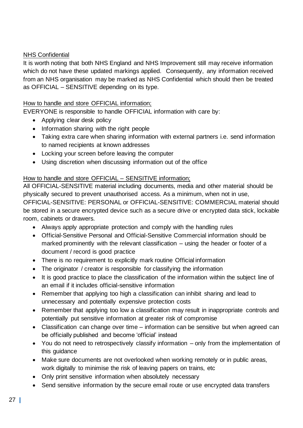# NHS Confidential

It is worth noting that both NHS England and NHS Improvement still may receive information which do not have these updated markings applied. Consequently, any information received from an NHS organisation may be marked as NHS Confidential which should then be treated as OFFICIAL – SENSITIVE depending on its type.

# How to handle and store OFFICIAL information;

EVERYONE is responsible to handle OFFICIAL information with care by:

- Applying clear desk policy
- Information sharing with the right people
- Taking extra care when sharing information with external partners i.e. send information to named recipients at known addresses
- Locking your screen before leaving the computer
- Using discretion when discussing information out of the office

# How to handle and store OFFICIAL – SENSITIVE information;

All OFFICIAL-SENSITIVE material including documents, media and other material should be physically secured to prevent unauthorised access. As a minimum, when not in use, OFFICIAL-SENSITIVE: PERSONAL or OFFICIAL-SENSITIVE: COMMERCIAL material should be stored in a secure encrypted device such as a secure drive or encrypted data stick, lockable room, cabinets or drawers.

• Always apply appropriate protection and comply with the handling rules

- Official-Sensitive Personal and Official-Sensitive Commercial information should be marked prominently with the relevant classification – using the header or footer of a document / record is good practice
- There is no requirement to explicitly mark routine Official information
- The originator / creator is responsible for classifying the information
- It is good practice to place the classification of the information within the subject line of an email if it includes official-sensitive information
- Remember that applying too high a classification can inhibit sharing and lead to unnecessary and potentially expensive protection costs
- Remember that applying too low a classification may result in inappropriate controls and potentially put sensitive information at greater risk of compromise
- Classification can change over time information can be sensitive but when agreed can be officially published and become 'official' instead
- You do not need to retrospectively classify information only from the implementation of this guidance
- Make sure documents are not overlooked when working remotely or in public areas, work digitally to minimise the risk of leaving papers on trains, etc
- Only print sensitive information when absolutely necessary
- Send sensitive information by the secure email route or use encrypted data transfers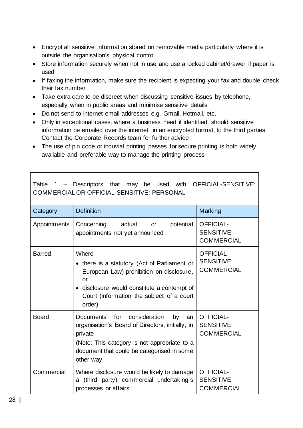- Encrypt all sensitive information stored on removable media particularly where it is outside the organisation's physical control
- Store information securely when not in use and use a locked cabinet/drawer if paper is used
- If faxing the information, make sure the recipient is expecting your fax and double check their fax number
- Take extra care to be discreet when discussing sensitive issues by telephone, especially when in public areas and minimise sensitive details
- Do not send to internet email addresses e.g. Gmail, Hotmail, etc.
- Only in exceptional cases, where a business need if identified, should sensitive information be emailed over the internet, in an encrypted format, to the third parties. Contact the Corporate Records team for further advice
- The use of pin code or induvial printing passes for secure printing is both widely available and preferable way to manage the printing process

| Category      | <b>Definition</b>                                                                                                                                                                                                    | Marking                                                    |
|---------------|----------------------------------------------------------------------------------------------------------------------------------------------------------------------------------------------------------------------|------------------------------------------------------------|
| Appointments  | Concerning<br>potential<br>actual<br><b>or</b><br>appointments not yet announced                                                                                                                                     | <b>OFFICIAL-</b><br><b>SENSITIVE:</b><br><b>COMMERCIAL</b> |
| <b>Barred</b> | Where<br>• there is a statutory (Act of Parliament or<br>European Law) prohibition on disclosure,<br>or<br>• disclosure would constitute a contempt of<br>Court (information the subject of a court<br>order)        | <b>OFFICIAL-</b><br><b>SENSITIVE:</b><br><b>COMMERCIAL</b> |
| <b>Board</b>  | Documents for<br>consideration<br>by<br>an<br>organisation's Board of Directors, initially, in<br>private<br>(Note: This category is not appropriate to a<br>document that could be categorised in some<br>other way | <b>OFFICIAL-</b><br><b>SENSITIVE:</b><br><b>COMMERCIAL</b> |
| Commercial    | Where disclosure would be likely to damage<br>a (third party) commercial undertaking's<br>processes or affairs                                                                                                       | <b>OFFICIAL-</b><br><b>SENSITIVE:</b><br><b>COMMERCIAL</b> |

Table 1 – Descriptors that may be used with OFFICIAL-SENSITIVE: COMMERCIAL OR OFFICIAL-SENSITIVE: PERSONAL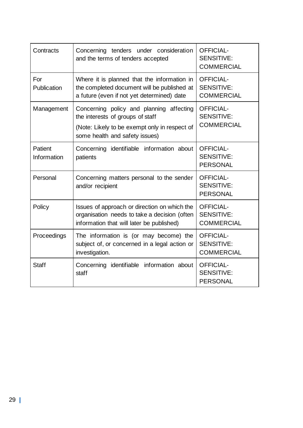<span id="page-29-0"></span>

| Contracts              | Concerning tenders under consideration<br>and the terms of tenders accepted                                                                                     | <b>OFFICIAL-</b><br><b>SENSITIVE:</b><br><b>COMMERCIAL</b> |
|------------------------|-----------------------------------------------------------------------------------------------------------------------------------------------------------------|------------------------------------------------------------|
| For<br>Publication     | Where it is planned that the information in<br>the completed document will be published at<br>a future (even if not yet determined) date                        | <b>OFFICIAL-</b><br><b>SENSITIVE:</b><br><b>COMMERCIAL</b> |
| Management             | Concerning policy and planning affecting<br>the interests of groups of staff<br>(Note: Likely to be exempt only in respect of<br>some health and safety issues) | <b>OFFICIAL-</b><br><b>SENSITIVE:</b><br><b>COMMERCIAL</b> |
| Patient<br>Information | Concerning identifiable information about<br>patients                                                                                                           | <b>OFFICIAL-</b><br><b>SENSITIVE:</b><br><b>PERSONAL</b>   |
| Personal               | Concerning matters personal to the sender<br>and/or recipient                                                                                                   | <b>OFFICIAL-</b><br><b>SENSITIVE:</b><br><b>PERSONAL</b>   |
| Policy                 | Issues of approach or direction on which the<br>organisation needs to take a decision (often<br>information that will later be published)                       | <b>OFFICIAL-</b><br><b>SENSITIVE:</b><br><b>COMMERCIAL</b> |
| Proceedings            | The information is (or may become) the<br>subject of, or concerned in a legal action or<br>investigation.                                                       | <b>OFFICIAL-</b><br><b>SENSITIVE:</b><br><b>COMMERCIAL</b> |
| <b>Staff</b>           | Concerning identifiable information about<br>staff                                                                                                              | <b>OFFICIAL-</b><br><b>SENSITIVE:</b><br><b>PERSONAL</b>   |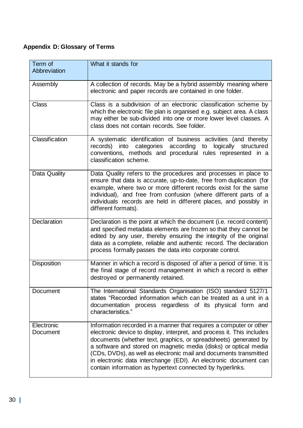# **Appendix D: Glossary of Terms**

| Term of<br>Abbreviation | What it stands for                                                                                                                                                                                                                                                                                                                                                                                                                                                                         |
|-------------------------|--------------------------------------------------------------------------------------------------------------------------------------------------------------------------------------------------------------------------------------------------------------------------------------------------------------------------------------------------------------------------------------------------------------------------------------------------------------------------------------------|
| Assembly                | A collection of records. May be a hybrid assembly meaning where<br>electronic and paper records are contained in one folder.                                                                                                                                                                                                                                                                                                                                                               |
| <b>Class</b>            | Class is a subdivision of an electronic classification scheme by<br>which the electronic file plan is organised e.g. subject area. A class<br>may either be sub-divided into one or more lower level classes. A<br>class does not contain records. See folder,                                                                                                                                                                                                                             |
| Classification          | A systematic identification of business activities (and thereby<br>records) into categories according to logically structured<br>conventions, methods and procedural rules represented in a<br>classification scheme.                                                                                                                                                                                                                                                                      |
| Data Quality            | Data Quality refers to the procedures and processes in place to<br>ensure that data is accurate, up-to-date, free from duplication (for<br>example, where two or more different records exist for the same<br>individual), and free from confusion (where different parts of a<br>individuals records are held in different places, and possibly in<br>different formats).                                                                                                                 |
| Declaration             | Declaration is the point at which the document (i.e. record content)<br>and specified metadata elements are frozen so that they cannot be<br>edited by any user, thereby ensuring the integrity of the original<br>data as a complete, reliable and authentic record. The declaration<br>process formally passes the data into corporate control.                                                                                                                                          |
| <b>Disposition</b>      | Manner in which a record is disposed of after a period of time. It is<br>the final stage of record management in which a record is either<br>destroyed or permanently retained.                                                                                                                                                                                                                                                                                                            |
| Document                | The International Standards Organisation (ISO) standard 5127/1<br>states "Recorded information which can be treated as a unit in a<br>documentation process regardless of its physical form and<br>characteristics."                                                                                                                                                                                                                                                                       |
| Electronic<br>Document  | Information recorded in a manner that requires a computer or other<br>electronic device to display, interpret, and process it. This includes<br>documents (whether text, graphics, or spreadsheets) generated by<br>a software and stored on magnetic media (disks) or optical media<br>(CDs, DVDs), as well as electronic mail and documents transmitted<br>in electronic data interchange (EDI). An electronic document can<br>contain information as hypertext connected by hyperlinks. |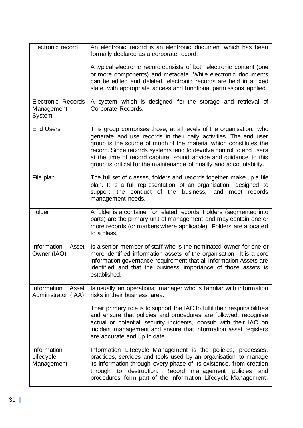| Electronic record                                 | An electronic record is an electronic document which has been<br>formally declared as a corporate record.                                                                                                                                                                                                                                                                                                                     |
|---------------------------------------------------|-------------------------------------------------------------------------------------------------------------------------------------------------------------------------------------------------------------------------------------------------------------------------------------------------------------------------------------------------------------------------------------------------------------------------------|
|                                                   | A typical electronic record consists of both electronic content (one<br>or more components) and metadata. While electronic documents<br>can be edited and deleted, electronic records are held in a fixed<br>state, with appropriate access and functional permissions applied.                                                                                                                                               |
| <b>Electronic Records</b><br>Management<br>System | A system which is designed for the storage and retrieval of<br>Corporate Records.                                                                                                                                                                                                                                                                                                                                             |
| <b>End Users</b>                                  | This group comprises those, at all levels of the organisation, who<br>generate and use records in their daily activities. The end user<br>group is the source of much of the material which constitutes the<br>record. Since records systems tend to devolve control to end users<br>at the time of record capture, sound advice and guidance to this<br>group is critical for the maintenance of quality and accountability. |
| File plan                                         | The full set of classes, folders and records together make up a file<br>plan. It is a full representation of an organisation, designed to<br>support the conduct of the business,<br>and meet records<br>management needs.                                                                                                                                                                                                    |
| Folder                                            | A folder is a container for related records. Folders (segmented into<br>parts) are the primary unit of management and may contain one or<br>more records (or markers where applicable). Folders are allocated<br>to a class.                                                                                                                                                                                                  |
| Information<br>Asset<br>Owner (IAO)               | Is a senior member of staff who is the nominated owner for one or<br>more identified information assets of the organisation. It is a core<br>information governance requirement that all Information Assets are<br>identified and that the business importance of those assets is<br>established.                                                                                                                             |
| Information<br>Asset<br>Administrator (IAA)       | Is usually an operational manager who is familiar with information<br>risks in their business area.                                                                                                                                                                                                                                                                                                                           |
|                                                   | Their primary role is to support the IAO to fulfil their responsibilities<br>and ensure that policies and procedures are followed, recognise<br>actual or potential security incidents, consult with their IAO on<br>incident management and ensure that information asset registers<br>are accurate and up to date.                                                                                                          |
| Information<br>Lifecycle<br>Management            | Information Lifecycle Management is the policies, processes,<br>practices, services and tools used by an organisation to manage<br>its information through every phase of its existence, from creation<br>through to destruction. Record management policies<br>and<br>procedures form part of the Information Lifecycle Management,                                                                                          |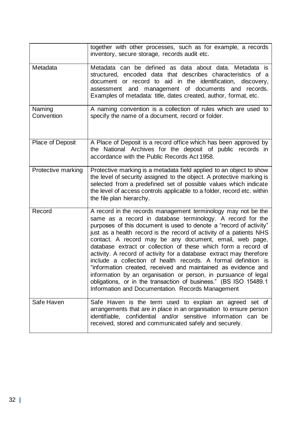|                      | together with other processes, such as for example, a records<br>inventory, secure storage, records audit etc.                                                                                                                                                                                                                                                                                                                                                                                                                                                                                                                                                                                                                                                                                              |
|----------------------|-------------------------------------------------------------------------------------------------------------------------------------------------------------------------------------------------------------------------------------------------------------------------------------------------------------------------------------------------------------------------------------------------------------------------------------------------------------------------------------------------------------------------------------------------------------------------------------------------------------------------------------------------------------------------------------------------------------------------------------------------------------------------------------------------------------|
| Metadata             | Metadata can be defined as data about data. Metadata is<br>structured, encoded data that describes characteristics of a<br>document or record to aid in the identification, discovery,<br>assessment and management of documents and records.<br>Examples of metadata: title, dates created, author, format, etc.                                                                                                                                                                                                                                                                                                                                                                                                                                                                                           |
| Naming<br>Convention | A naming convention is a collection of rules which are used to<br>specify the name of a document, record or folder.                                                                                                                                                                                                                                                                                                                                                                                                                                                                                                                                                                                                                                                                                         |
| Place of Deposit     | A Place of Deposit is a record office which has been approved by<br>the National Archives for the deposit of public records in<br>accordance with the Public Records Act 1958.                                                                                                                                                                                                                                                                                                                                                                                                                                                                                                                                                                                                                              |
| Protective marking   | Protective marking is a metadata field applied to an object to show<br>the level of security assigned to the object. A protective marking is<br>selected from a predefined set of possible values which indicate<br>the level of access controls applicable to a folder, record etc. within<br>the file plan hierarchy.                                                                                                                                                                                                                                                                                                                                                                                                                                                                                     |
| Record               | A record in the records management terminology may not be the<br>same as a record in database terminology. A record for the<br>purposes of this document is used to denote a "record of activity"<br>just as a health record is the record of activity of a patients NHS<br>contact. A record may be any document, email, web page,<br>database extract or collection of these which form a record of<br>activity. A record of activity for a database extract may therefore<br>include a collection of health records. A formal definition is<br>"information created, received and maintained as evidence and<br>information by an organisation or person, in pursuance of legal<br>obligations, or in the transaction of business." (BS ISO 15489.1<br>Information and Documentation. Records Management |
| Safe Haven           | Safe Haven is the term used to explain an agreed set of<br>arrangements that are in place in an organisation to ensure person<br>identifiable, confidential and/or sensitive information can be<br>received, stored and communicated safely and securely.                                                                                                                                                                                                                                                                                                                                                                                                                                                                                                                                                   |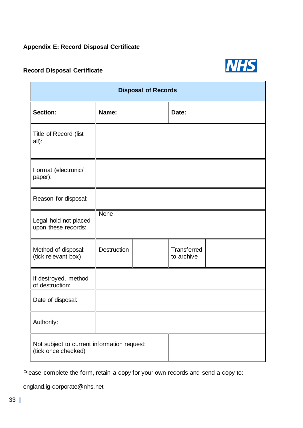# <span id="page-33-0"></span>**Appendix E: Record Disposal Certificate**

# **Record Disposal Certificate**



| <b>Disposal of Records</b>                                         |                    |  |                           |  |  |  |
|--------------------------------------------------------------------|--------------------|--|---------------------------|--|--|--|
| <b>Section:</b>                                                    | Name:              |  | Date:                     |  |  |  |
| Title of Record (list<br>all):                                     |                    |  |                           |  |  |  |
| Format (electronic/<br>paper):                                     |                    |  |                           |  |  |  |
| Reason for disposal:                                               |                    |  |                           |  |  |  |
| Legal hold not placed<br>upon these records:                       | None               |  |                           |  |  |  |
| Method of disposal:<br>(tick relevant box)                         | <b>Destruction</b> |  | Transferred<br>to archive |  |  |  |
| If destroyed, method<br>of destruction:                            |                    |  |                           |  |  |  |
| Date of disposal:                                                  |                    |  |                           |  |  |  |
| Authority:                                                         |                    |  |                           |  |  |  |
| Not subject to current information request:<br>(tick once checked) |                    |  |                           |  |  |  |

Please complete the form, retain a copy for your own records and send a copy to:

[england.ig-corporate@nhs.net](mailto:england.ig-corporate@nhs.net)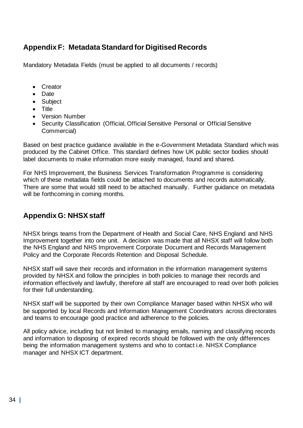# **Appendix F: Metadata Standard for Digitised Records**

Mandatory Metadata Fields (must be applied to all documents / records)

- Creator
- Date
- Subject
- Title
- Version Number
- Security Classification (Official, Official Sensitive Personal or Official Sensitive Commercial)

Based on best practice guidance available in the e-Government Metadata Standard which was produced by the Cabinet Office. This standard defines how UK public sector bodies should label documents to make information more easily managed, found and shared.

For NHS Improvement, the Business Services Transformation Programme is considering which of these metadata fields could be attached to documents and records automatically. There are some that would still need to be attached manually. Further guidance on metadata will be forthcoming in coming months.

# **Appendix G: NHSX staff**

NHSX brings teams from the Department of Health and Social Care, NHS England and NHS Improvement together into one unit. A decision was made that all NHSX staff will follow both the NHS England and NHS Improvement Corporate Document and Records Management Policy and the Corporate Records Retention and Disposal Schedule.

NHSX staff will save their records and information in the information management systems provided by NHSX and follow the principles in both policies to manage their records and information effectively and lawfully, therefore all staff are encouraged to read over both policies for their full understanding.

NHSX staff will be supported by their own Compliance Manager based within NHSX who will be supported by local Records and Information Management Coordinators across directorates and teams to encourage good practice and adherence to the policies.

All policy advice, including but not limited to managing emails, naming and classifying records and information to disposing of expired records should be followed with the only differences being the information management systems and who to contact i.e. NHSX Compliance manager and NHSX ICT department.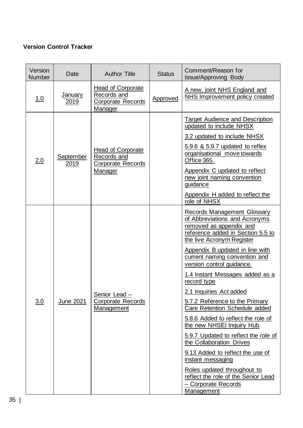# **Version Control Tracker**

| Version<br><b>Number</b> | Date                   | <b>Author Title</b>                                                            | <b>Status</b> | Comment/Reason for<br><b>Issue/Approving Body</b>                                                                                                                                                                                                                                                                                                                                                                                                                                                                                                                                                                                                                                                                            |
|--------------------------|------------------------|--------------------------------------------------------------------------------|---------------|------------------------------------------------------------------------------------------------------------------------------------------------------------------------------------------------------------------------------------------------------------------------------------------------------------------------------------------------------------------------------------------------------------------------------------------------------------------------------------------------------------------------------------------------------------------------------------------------------------------------------------------------------------------------------------------------------------------------------|
| <u>1.0</u>               | <b>January</b><br>2019 | <b>Head of Corporate</b><br>Records and<br>Corporate Records<br>Manager        | Approved      | A new, joint NHS England and<br>NHS Improvement policy created                                                                                                                                                                                                                                                                                                                                                                                                                                                                                                                                                                                                                                                               |
| 2.0                      | September<br>2019      | <b>Head of Corporate</b><br>Records and<br><b>Corporate Records</b><br>Manager |               | <b>Target Audience and Description</b><br>updated to include NHSX<br>3.2 updated to include NHSX<br>5.9.6 & 5.9.7 updated to reflex<br>organisational move towards<br>Office 365.<br>Appendix C updated to reflect<br>new joint naming convention<br>guidance<br>Appendix H added to reflect the<br>role of NHSX                                                                                                                                                                                                                                                                                                                                                                                                             |
| 3.0                      | June 2021              | Senior Lead -<br>Corporate Records<br>Management                               |               | <b>Records Management Glossary</b><br>of Abbreviations and Acronyms<br>removed as appendix and<br>reference added in Section 5.5 to<br>the live Acronym Register<br>Appendix B updated in line with<br>current naming convention and<br>version control guidance.<br>1.4 Instant Messages added as a<br>record type<br>2.1 Inquiries Act added<br>5.7.2 Reference to the Primary<br>Care Retention Schedule added<br>5.8.6 Added to reflect the role of<br>the new NHSEI Inquiry Hub<br>5.9.7 Updated to reflect the role of<br>the Collaboration Drives<br>9.13 Added to reflect the use of<br>instant messaging<br>Roles updated throughout to<br>reflect the role of the Senior Lead<br>- Corporate Records<br>Management |